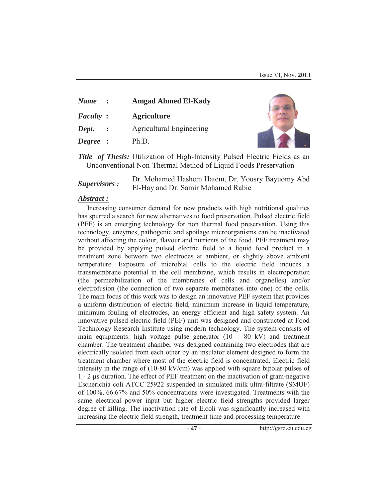| <b>Name</b>      | $\mathbb{R}^n$ | <b>Amgad Ahmed El-Kady</b>      |
|------------------|----------------|---------------------------------|
| <b>Faculty</b> : |                | <b>Agriculture</b>              |
| Dept.            | $\mathbb{R}^n$ | <b>Agricultural Engineering</b> |
| Degree :         |                | Ph.D.                           |



*Title of Thesis:* Utilization of High-Intensity Pulsed Electric Fields as an Unconventional Non-Thermal Method of Liquid Foods Preservation

**Supervisors :** Dr. Mohamed Hashem Hatem, Dr. Yousry Bayuomy Abd El-Hay and Dr. Samir Mohamed Rabie

## *Abstract :*

Increasing consumer demand for new products with high nutritional qualities has spurred a search for new alternatives to food preservation. Pulsed electric field (PEF) is an emerging technology for non thermal food preservation. Using this technology, enzymes, pathogenic and spoilage microorganisms can be inactivated without affecting the colour, flavour and nutrients of the food. PEF treatment may be provided by applying pulsed electric field to a liquid food product in a treatment zone between two electrodes at ambient, or slightly above ambient temperature. Exposure of microbial cells to the electric field induces a transmembrane potential in the cell membrane, which results in electroporation (the permeabilization of the membranes of cells and organelles) and/or electrofusion (the connection of two separate membranes into one) of the cells. The main focus of this work was to design an innovative PEF system that provides a uniform distribution of electric field, minimum increase in liquid temperature, minimum fouling of electrodes, an energy efficient and high safety system. An innovative pulsed electric field (PEF) unit was designed and constructed at Food Technology Research Institute using modern technology. The system consists of main equipments: high voltage pulse generator  $(10 - 80 \text{ kV})$  and treatment chamber. The treatment chamber was designed containing two electrodes that are electrically isolated from each other by an insulator element designed to form the treatment chamber where most of the electric field is concentrated. Electric field intensity in the range of (10-80 kV/cm) was applied with square bipolar pulses of 1 - 2 μs duration. The effect of PEF treatment on the inactivation of gram-negative Escherichia coli ATCC 25922 suspended in simulated milk ultra-filtrate (SMUF) of 100%, 66.67% and 50% concentrations were investigated. Treatments with the same electrical power input but higher electric field strengths provided larger degree of killing. The inactivation rate of E.coli was significantly increased with increasing the electric field strength, treatment time and processing temperature.